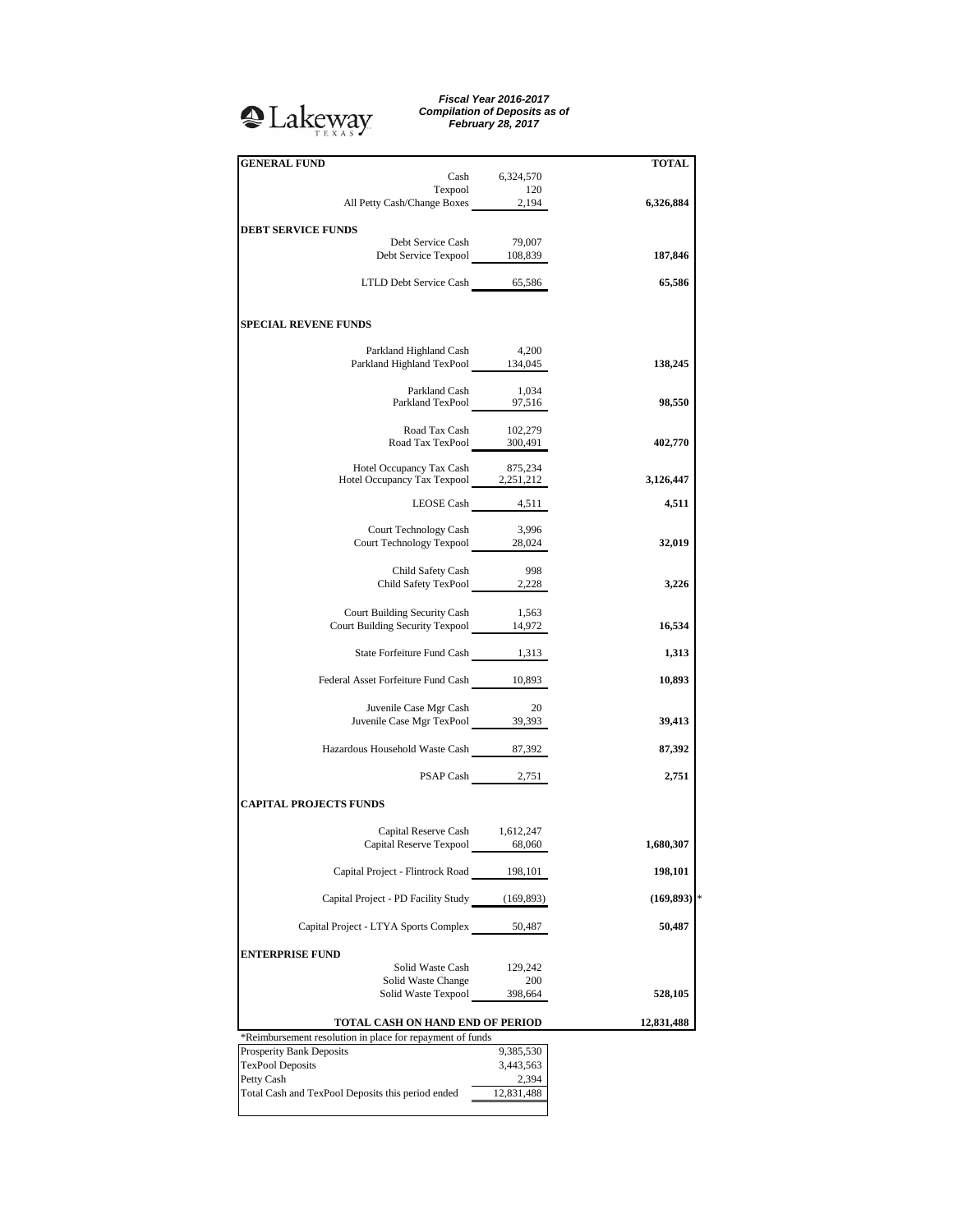## <sup>2</sup>Lakeway

*Fiscal Year 2016-2017 Compilation of Deposits as of February 28, 2017*

| <b>GENERAL FUND</b>                                                                           |                  | <b>TOTAL</b> |
|-----------------------------------------------------------------------------------------------|------------------|--------------|
|                                                                                               | Cash 6,324,570   |              |
|                                                                                               |                  |              |
| Texpool 120<br>All Petty Cash/Change Boxes 2,194                                              |                  | 6,326,884    |
|                                                                                               |                  |              |
| <b>DEBT SERVICE FUNDS</b>                                                                     |                  |              |
| Debt Service Cash<br>Debt Service Texpool 108,839                                             | 79,007           | 187,846      |
|                                                                                               |                  |              |
| LTLD Debt Service Cash 65,586                                                                 |                  | 65,586       |
|                                                                                               |                  |              |
| <b>SPECIAL REVENE FUNDS</b>                                                                   |                  |              |
|                                                                                               |                  |              |
| Parkland Highland Cash 4,200                                                                  |                  | 138,245      |
| Parkland Highland TexPool 134,045                                                             |                  |              |
| Parkland Cash                                                                                 | 1,034            |              |
| Parkland Cash 1,034<br>Parkland TexPool 97,516                                                |                  | 98,550       |
|                                                                                               |                  |              |
| Road Tax Cash<br>Road Tax Cash 102,279<br>Road Tax TexPool 300,491                            | 102,279          |              |
|                                                                                               |                  | 402,770      |
| Hotel Occupancy Tax Cash                                                                      | 875,234          |              |
| Hotel Occupancy Tax Texpool 2,251,212                                                         |                  | 3,126,447    |
|                                                                                               |                  |              |
|                                                                                               | LEOSE Cash 4,511 | 4,511        |
| Court Technology Cash                                                                         | 3,996            |              |
| Court Technology Texpool 28,024                                                               |                  | 32,019       |
|                                                                                               |                  |              |
| Child Safety Cash                                                                             | 998              |              |
| Child Safety TexPool 2,228                                                                    |                  | 3,226        |
|                                                                                               |                  |              |
| Court Building Security Cash 1,563<br>Court Building Security Texpool 14,972                  |                  | 16,534       |
|                                                                                               |                  |              |
| State Forfeiture Fund Cash 1,313                                                              |                  | 1,313        |
|                                                                                               |                  |              |
| Federal Asset Forfeiture Fund Cash 10,893                                                     |                  | 10,893       |
|                                                                                               |                  |              |
| Juvenile Case Mgr Cash<br>Juvenile Case Mgr TexPool 39,393                                    | 20               | 39,413       |
|                                                                                               |                  |              |
| Hazardous Household Waste Cash 87,392                                                         |                  | 87,392       |
|                                                                                               |                  |              |
|                                                                                               | PSAP Cash 2,751  | 2,751        |
|                                                                                               |                  |              |
| <b>CAPITAL PROJECTS FUNDS</b>                                                                 |                  |              |
| Capital Reserve Cash 1,612,247                                                                |                  |              |
| Capital Reserve Texpool 68,060                                                                |                  | 1,680,307    |
|                                                                                               |                  |              |
| Capital Project - Flintrock Road 198,101                                                      |                  | 198,101      |
|                                                                                               |                  |              |
| Capital Project - PD Facility Study (169,893)                                                 |                  | (169, 893)   |
| Capital Project - LTYA Sports Complex                                                         | 50,487           | 50,487       |
|                                                                                               |                  |              |
| <b>ENTERPRISE FUND</b>                                                                        |                  |              |
| Solid Waste Cash                                                                              | 129,242          |              |
| Solid Waste Change                                                                            | 200              |              |
| Solid Waste Texpool                                                                           | 398,664          | 528,105      |
|                                                                                               |                  |              |
| TOTAL CASH ON HAND END OF PERIOD<br>*Reimbursement resolution in place for repayment of funds | 12,831,488       |              |
| Prosperity Bank Deposits                                                                      | 9,385,530        |              |
| <b>TexPool Deposits</b>                                                                       | 3,443,563        |              |
| Petty Cash                                                                                    | 2,394            |              |
| Total Cash and TexPool Deposits this period ended                                             | 12,831,488       |              |
|                                                                                               |                  |              |